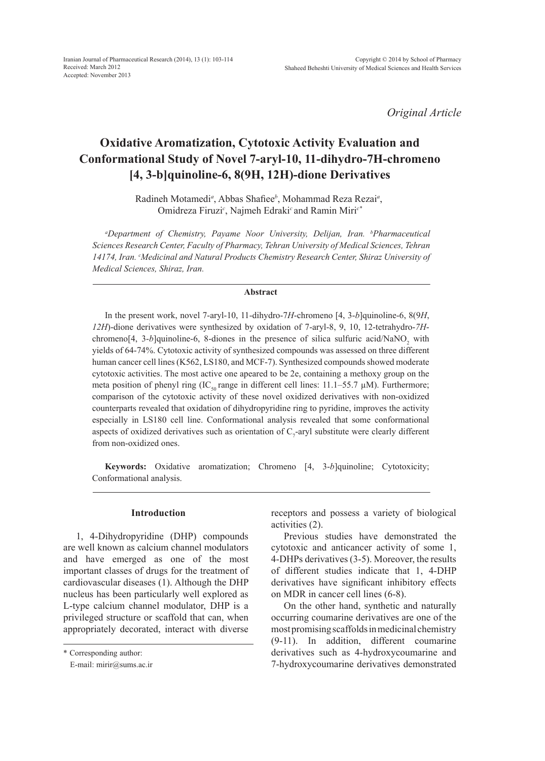*Original Article*

# **Oxidative Aromatization, Cytotoxic Activity Evaluation and Conformational Study of Novel 7-aryl-10, 11-dihydro-7H-chromeno [4, 3-b]quinoline-6, 8(9H, 12H)-dione Derivatives**

Radineh Motamedi*<sup>a</sup>* , Abbas Shafiee*<sup>b</sup>* , Mohammad Reza Rezai*<sup>a</sup>* , Omidreza Firuzi*<sup>c</sup>* , Najmeh Edraki*<sup>c</sup>* and Ramin Miri*c\**

*a Department of Chemistry, Payame Noor University, Delijan, Iran. b Pharmaceutical Sciences Research Center, Faculty of Pharmacy, Tehran University of Medical Sciences, Tehran*  14174, Iran. <sup>c</sup>Medicinal and Natural Products Chemistry Research Center, Shiraz University of *Medical Sciences, Shiraz, Iran.*

## **Abstract**

In the present work, novel 7-aryl-10, 11-dihydro-7*H*-chromeno [4, 3-*b*]quinoline-6, 8(9*H*, *12H*)-dione derivatives were synthesized by oxidation of 7-aryl-8, 9, 10, 12-tetrahydro-*7H* $chromeno[4, 3-b]$ quinoline-6, 8-diones in the presence of silica sulfuric acid/NaNO<sub>2</sub> with yields of 64-74%. Cytotoxic activity of synthesized compounds was assessed on three different human cancer cell lines (K562, LS180, and MCF-7). Synthesized compounds showed moderate cytotoxic activities. The most active one apeared to be 2e, containing a methoxy group on the meta position of phenyl ring (IC<sub>50</sub> range in different cell lines:  $11.1-55.7 \mu M$ ). Furthermore; comparison of the cytotoxic activity of these novel oxidized derivatives with non-oxidized counterparts revealed that oxidation of dihydropyridine ring to pyridine, improves the activity especially in LS180 cell line. Conformational analysis revealed that some conformational aspects of oxidized derivatives such as orientation of  $C_7$ -aryl substitute were clearly different from non-oxidized ones.

**Keywords:** Oxidative aromatization; Chromeno [4, 3-*b*]quinoline; Cytotoxicity; Conformational analysis.

## **Introduction**

1, 4-Dihydropyridine (DHP) compounds are well known as calcium channel modulators and have emerged as one of the most important classes of drugs for the treatment of cardiovascular diseases (1). Although the DHP nucleus has been particularly well explored as L-type calcium channel modulator, DHP is a privileged structure or scaffold that can, when appropriately decorated, interact with diverse receptors and possess a variety of biological activities (2).

Previous studies have demonstrated the cytotoxic and anticancer activity of some 1, 4-DHPs derivatives (3-5). Moreover, the results of different studies indicate that 1, 4-DHP derivatives have significant inhibitory effects on MDR in cancer cell lines (6-8).

On the other hand, synthetic and naturally occurring coumarine derivatives are one of the most promising scaffolds in medicinal chemistry (9-11). In addition, different coumarine derivatives such as 4-hydroxycoumarine and 7-hydroxycoumarine derivatives demonstrated

<sup>\*</sup> Corresponding author:

E-mail: mirir@sums.ac.ir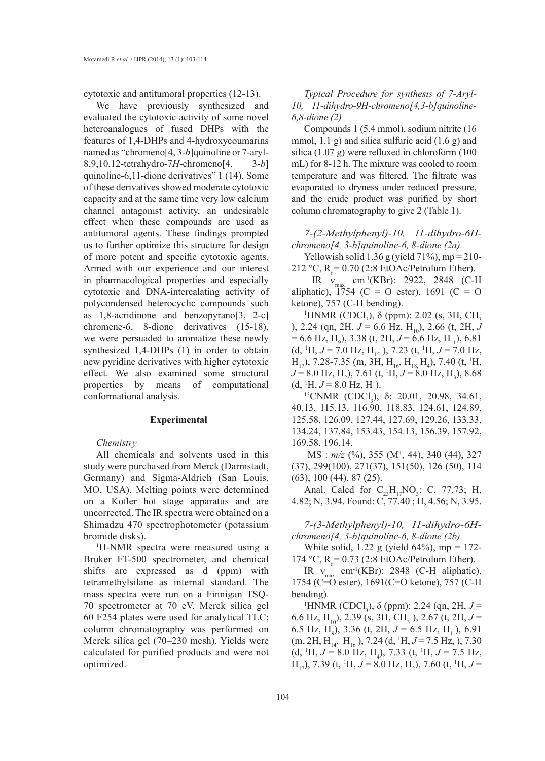cytotoxic and antitumoral properties (12-13).

We have previously synthesized and evaluated the cytotoxic activity of some novel heteroanalogues of fused DHPs with the features of 1,4-DHPs and 4-hydroxycoumarins named as "chromeno[4, 3-*b*]quinoline or 7-aryl-8,9,10,12-tetrahydro-7*H*-chromeno[4, 3-*b*] quinoline-6,11-dione derivatives" 1 (14). Some of these derivatives showed moderate cytotoxic capacity and at the same time very low calcium channel antagonist activity, an undesirable effect when these compounds are used as antitumoral agents. These findings prompted us to further optimize this structure for design of more potent and specific cytotoxic agents. Armed with our experience and our interest in pharmacological properties and especially cytotoxic and DNA-intercalating activity of polycondensed heterocyclic compounds such as 1,8-acridinone and benzopyrano[3, 2-c] chromene-6, 8-dione derivatives (15-18), we were persuaded to aromatize these newly synthesized 1,4-DHPs (1) in order to obtain new pyridine derivatives with higher cytotoxic effect. We also examined some structural properties by means of computational conformational analysis.

## **Experimental**

## *Chemistry*

All chemicals and solvents used in this study were purchased from Merck (Darmstadt, Germany) and Sigma-Aldrich (San Louis, MO, USA). Melting points were determined on a Kofler hot stage apparatus and are uncorrected. The IR spectra were obtained on a Shimadzu 470 spectrophotometer (potassium bromide disks).

1 H-NMR spectra were measured using a Bruker FT-500 spectrometer, and chemical shifts are expressed as d (ppm) with tetramethylsilane as internal standard. The mass spectra were run on a Finnigan TSQ-70 spectrometer at 70 eV. Merck silica gel 60 F254 plates were used for analytical TLC; column chromatography was performed on Merck silica gel (70–230 mesh). Yields were calculated for purified products and were not optimized.

*Typical Procedure for synthesis of 7-Aryl-10, 11-dihydro-9H-chromeno[4,3-b]quinoline-6,8-dione (2)*

Compounds 1 (5.4 mmol), sodium nitrite (16 mmol, 1.1 g) and silica sulfuric acid (1.6 g) and silica (1.07 g) were refluxed in chloroform (100 mL) for 8-12 h. The mixture was cooled to room temperature and was filtered. The filtrate was evaporated to dryness under reduced pressure, and the crude product was purified by short column chromatography to give 2 (Table 1).

*7-(2-Methylphenyl)-10, 11-dihydro-6Hchromeno[4, 3-b]quinoline-6, 8-dione (2a).*

Yellowish solid 1.36 g (yield  $71\%$ ), mp = 210-212 °C,  $R<sub>r</sub> = 0.70$  (2:8 EtOAc/Petrolum Ether).

IR  $v_{\text{max}}$  cm<sup>-1</sup>(KBr): 2922, 2848 (C-H) aliphatic), 1754 (C = O ester), 1691 (C = O ketone), 757 (C-H bending).

<sup>1</sup>HNMR (CDCl<sub>3</sub>), δ (ppm): 2.02 (s, 3H, CH<sub>3</sub> ), 2.24 (qn, 2H,  $J = 6.6$  Hz, H<sub>10</sub>), 2.66 (t, 2H, J  $= 6.6$  Hz, H<sub>9</sub>), 3.38 (t, 2H,  $J = 6.6$  Hz, H<sub>11</sub>), 6.81  $(d, {}^{1}H, J = 7.0$  Hz, H<sub>15</sub>), 7.23  $(t, {}^{1}H, J = 7.0$  Hz,  $H_{17}$ ), 7.28-7.35 (m, 3H,  $H_{16}$ ,  $H_{18}$ ,  $H_4$ ), 7.40 (t, <sup>1</sup>H,  $J = 8.0$  Hz, H<sub>2</sub>), 7.61 (t, <sup>1</sup>H,  $J = 8.0$  Hz, H<sub>3</sub>), 8.68  $(d, {}^{1}H, J = 8.0 \text{ Hz}, H_1).$ 

<sup>13</sup>CNMR (CDCl<sub>3</sub>), δ: 20.01, 20.98, 34.61, 40.13, 115.13, 116.90, 118.83, 124.61, 124.89, 125.58, 126.09, 127.44, 127.69, 129.26, 133.33, 134.24, 137.84, 153.43, 154.13, 156.39, 157.92, 169.58, 196.14.

MS :  $m/z$  (%), 355 (M<sup>+</sup>, 44), 340 (44), 327 (37), 299(100), 271(37), 151(50), 126 (50), 114 (63), 100 (44), 87 (25).

Anal. Calcd for  $C_{23}H_{17}NO_3$ : C, 77.73; H, 4.82; N, 3.94. Found: C, 77.40 ; H, 4.56; N, 3.95.

*7-(3-Methylphenyl)-10, 11-dihydro-6Hchromeno[4, 3-b]quinoline-6, 8-dione (2b).*

White solid, 1.22 g (yield  $64\%$ ), mp = 172-174 °C,  $R_f$  = 0.73 (2:8 EtOAc/Petrolum Ether).

IR  $v_{\text{max}}$  cm<sup>-1</sup>(KBr): 2848 (C-H aliphatic), 1754 (C=O ester), 1691(C=O ketone), 757 (C-H bending).

<sup>1</sup>HNMR (CDCl<sub>3</sub>), δ (ppm): 2.24 (qn, 2H,  $J =$ 6.6 Hz, H<sub>10</sub>), 2.39 (s, 3H, CH<sub>3</sub>), 2.67 (t, 2H,  $J =$ 6.5 Hz, H<sub>9</sub>), 3.36 (t, 2H,  $J = 6.5$  Hz, H<sub>11</sub>), 6.91 (m, 2H, H<sub>14</sub>, H<sub>16</sub>), 7.24 (d, <sup>1</sup>H, *J* = 7.5 Hz, ), 7.30  $(d, {}^{1}H, J = 8.0 \text{ Hz}, H_4)$ , 7.33  $(t, {}^{1}H, J = 7.5 \text{ Hz},$  $H_{17}$ ), 7.39 (t, <sup>1</sup>H, *J* = 8.0 Hz, H<sub>2</sub>), 7.60 (t, <sup>1</sup>H, *J* =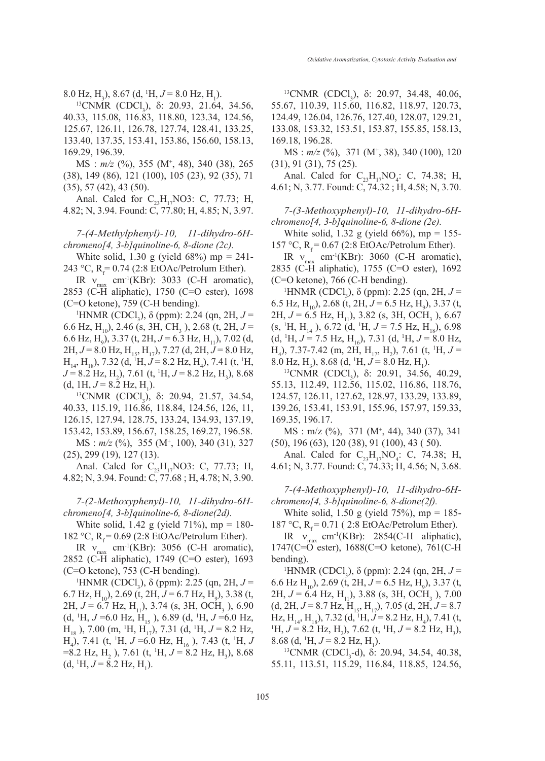8.0 Hz, H<sub>3</sub>), 8.67 (d, <sup>1</sup>H,  $J = 8.0$  Hz, H<sub>1</sub>).

<sup>13</sup>CNMR (CDCl<sub>3</sub>), δ: 20.93, 21.64, 34.56, 40.33, 115.08, 116.83, 118.80, 123.34, 124.56, 125.67, 126.11, 126.78, 127.74, 128.41, 133.25, 133.40, 137.35, 153.41, 153.86, 156.60, 158.13, 169.29, 196.39.

MS : *m/z* (%), 355 (M+ , 48), 340 (38), 265 (38), 149 (86), 121 (100), 105 (23), 92 (35), 71 (35), 57 (42), 43 (50).

Anal. Calcd for  $C_{23}H_{17}NO3$ : C, 77.73; H, 4.82; N, 3.94. Found: C, 77.80; H, 4.85; N, 3.97.

*7-(4-Methylphenyl)-10, 11-dihydro-6Hchromeno[4, 3-b]quinoline-6, 8-dione (2c).* 

White solid, 1.30 g (yield  $68\%$ ) mp = 241-243 °C,  $R_f = 0.74$  (2:8 EtOAc/Petrolum Ether).

IR  $v_{\text{max}}$  cm<sup>-1</sup>(KBr): 3033 (C-H aromatic), 2853 (C-H aliphatic), 1750 (C=O ester), 1698 (C=O ketone), 759 (C-H bending).

<sup>1</sup>HNMR (CDCl<sub>3</sub>), δ (ppm): 2.24 (qn, 2H,  $J =$ 6.6 Hz, H<sub>10</sub>), 2.46 (s, 3H, CH<sub>3</sub>), 2.68 (t, 2H,  $J =$ 6.6 Hz, H<sub>9</sub>), 3.37 (t, 2H,  $J = 6.3$  Hz, H<sub>11</sub>), 7.02 (d, 2H,  $J = 8.0$  Hz,  $H_{15}$ ,  $H_{17}$ ), 7.27 (d, 2H,  $J = 8.0$  Hz,  $H_{14}$ , H<sub>18</sub>), 7.32 (d, <sup>1</sup>H,  $J = 8.2$  Hz, H<sub>4</sub>), 7.41 (t, <sup>1</sup>H,  $J = 8.2$  Hz, H<sub>2</sub>), 7.61 (t, <sup>1</sup>H,  $J = 8.2$  Hz, H<sub>3</sub>), 8.68 (d, 1H,  $J = 8.2$  Hz, H<sub>1</sub>).

1H,  $J = 8.2$  Hz, H<sub>1</sub>).<br><sup>13</sup>CNMR (CDCl<sub>3</sub>), δ: 20.94, 21.57, 34.54, 40.33, 115.19, 116.86, 118.84, 124.56, 126, 11, 126.15, 127.94, 128.75, 133.24, 134.93, 137.19, 153.42, 153.89, 156.67, 158.25, 169.27, 196.58.

MS :  $m/z$  (%), 355 (M<sup>+</sup>, 100), 340 (31), 327 (25), 299 (19), 127 (13).

Anal. Calcd for  $C_{23}H_{17}NO3$ : C, 77.73; H, 4.82; N, 3.94. Found: C, 77.68 ; H, 4.78; N, 3.90.

*7-(2-Methoxyphenyl)-10, 11-dihydro-6Hchromeno[4, 3-b]quinoline-6, 8-dione(2d).*

White solid, 1.42 g (yield  $71\%$ ), mp = 180-182 °C,  $R_f = 0.69$  (2:8 EtOAc/Petrolum Ether).

IR  $v_{\text{max}}$  cm<sup>-1</sup>(KBr): 3056 (C-H aromatic), 2852 (C-H aliphatic), 1749 (C=O ester), 1693 (C=O ketone), 753 (C-H bending).

<sup>1</sup>HNMR (CDCl<sub>3</sub>), δ (ppm): 2.25 (qn, 2H,  $J =$  $6.7$  Hz, H<sub>10</sub>), 2.69 (t, 2H,  $J = 6.7$  Hz, H<sub>9</sub>), 3.38 (t,  $2H, J = 6.7$  Hz,  $H_{11}$ ), 3.74 (s, 3H, OCH<sub>3</sub>), 6.90  $(d, {}^{1}H, J=6.0 \text{ Hz}, H_{15}$ ), 6.89  $(d, {}^{1}H, J=6.0 \text{ Hz},$  $H_{18}$ ), 7.00 (m, <sup>1</sup>H, H<sub>17</sub>), 7.31 (d, <sup>1</sup>H, *J* = 8.2 Hz,  $H_4$ ), 7.41 (t, <sup>1</sup>H, *J* =6.0 Hz,  $H_{16}$ ), 7.43 (t, <sup>1</sup>H, *J*  $= 8.2$  Hz, H<sub>2</sub>), 7.61 (t, <sup>1</sup>H,  $J = 8.2$  Hz, H<sub>3</sub>), 8.68  $(d, {}^{1}H, J = 8.2 \text{ Hz}, H_1).$ 

<sup>13</sup>CNMR (CDCl<sub>3</sub>), δ: 20.97, 34.48, 40.06, 55.67, 110.39, 115.60, 116.82, 118.97, 120.73, 124.49, 126.04, 126.76, 127.40, 128.07, 129.21, 133.08, 153.32, 153.51, 153.87, 155.85, 158.13, 169.18, 196.28.

MS :  $m/z$  (%), 371 (M<sup>+</sup>, 38), 340 (100), 120 (31), 91 (31), 75 (25).

Anal. Calcd for  $C_{23}H_{17}NO_4$ : C, 74.38; H, 4.61; N, 3.77. Found: C, 74.32 ; H, 4.58; N, 3.70.

*7-(3-Methoxyphenyl)-10, 11-dihydro-6Hchromeno[4, 3-b]quinoline-6, 8-dione (2e).*

White solid, 1.32 g (yield 66%), mp = 155-157 °C,  $R_f = 0.67$  (2:8 EtOAc/Petrolum Ether).

IR  $v_{\text{max}}$  cm<sup>-1</sup>(KBr): 3060 (C-H aromatic), 2835 (C-H aliphatic), 1755 (C=O ester), 1692 (C=O ketone), 766 (C-H bending).

<sup>1</sup>HNMR (CDCl<sub>3</sub>), δ (ppm): 2.25 (qn, 2H,  $J =$ 6.5 Hz, H<sub>10</sub>), 2.68 (t, 2H,  $J = 6.5$  Hz, H<sub>9</sub>), 3.37 (t,  $2H, J = 6.5$  Hz,  $H_{11}$ ), 3.82 (s, 3H, OCH<sub>3</sub>), 6.67  $(s, {}^{1}H, H_{14}), 6.72$  (d,  ${}^{1}H, J = 7.5$  Hz,  $H_{18}), 6.98$  $(d, {}^{1}H, J = 7.5 \text{ Hz}, H_{16}), 7.31 (d, {}^{1}H, J = 8.0 \text{ Hz},$  $H_4$ ), 7.37-7.42 (m, 2H, H<sub>17</sub>, H<sub>2</sub>), 7.61 (t, <sup>1</sup>H, *J* = 8.0 Hz, H<sub>3</sub>), 8.68 (d, <sup>1</sup>H,  $J = 8.0$  Hz, H<sub>1</sub>).

<sup>13</sup>CNMR (CDCl<sub>3</sub>), δ: 20.91, 34.56, 40.29, 55.13, 112.49, 112.56, 115.02, 116.86, 118.76, 124.57, 126.11, 127.62, 128.97, 133.29, 133.89, 139.26, 153.41, 153.91, 155.96, 157.97, 159.33, 169.35, 196.17.

MS : m/z (%), 371 (M+ , 44), 340 (37), 341 (50), 196 (63), 120 (38), 91 (100), 43 ( 50).

Anal. Calcd for  $C_{23}H_{17}NO_4$ : C, 74.38; H, 4.61; N, 3.77. Found: C, 74.33; H, 4.56; N, 3.68.

*7-(4-Methoxyphenyl)-10, 11-dihydro-6Hchromeno[4, 3-b]quinoline-6, 8-dione(2f).*

White solid, 1.50 g (yield  $75\%$ ), mp = 185-187 °C,  $R_f = 0.71$  (2:8 EtOAc/Petrolum Ether).

IR  $v_{\text{max}}$  cm<sup>-1</sup>(KBr): 2854(C-H aliphatic), 1747(C=O ester), 1688(C=O ketone), 761(C-H bending).

<sup>1</sup>HNMR (CDCl<sub>3</sub>), δ (ppm): 2.24 (qn, 2H,  $J =$ 6.6 Hz H<sub>10</sub>), 2.69 (t, 2H,  $J = 6.5$  Hz, H<sub>9</sub>), 3.37 (t,  $2H, J = 6.4$  Hz,  $H_{11}$ ), 3.88 (s, 3H, OCH<sub>3</sub>), 7.00  $(d, 2H, J = 8.7 \text{ Hz}, H_{15}, H_{17}), 7.05 (d, 2H, J = 8.7$ Hz, H<sub>14</sub>, H<sub>18</sub>), 7.32 (d, <sup>1</sup>H, *J* = 8.2 Hz, H<sub>4</sub>), 7.41 (t,<br><sup>1</sup>H, *I* = 8.2 Hz, H), 7.62 (t, <sup>1</sup>H, *I* = 8.2 Hz, H)  $H, J = 8.2$  Hz,  $H_2$ ), 7.62 (t, <sup>1</sup>H,  $J = 8.2$  Hz,  $H_3$ ), 8.68 (d, <sup>1</sup>H,  $J = 8.2$  Hz, H<sub>1</sub>

8 (d, <sup>1</sup>H, *J* = 8.2 Hz, H<sub>1</sub>).<br><sup>13</sup>CNMR (CDCl<sub>3</sub>-d), δ: 20.94, 34.54, 40.38, 55.11, 113.51, 115.29, 116.84, 118.85, 124.56,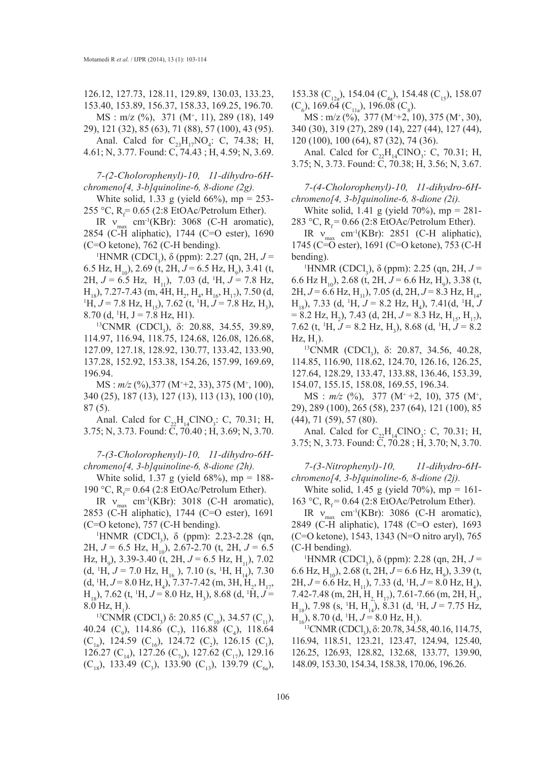126.12, 127.73, 128.11, 129.89, 130.03, 133.23, 153.40, 153.89, 156.37, 158.33, 169.25, 196.70. MS : m/z (%), 371 (M+ , 11), 289 (18), 149

29), 121 (32), 85 (63), 71 (88), 57 (100), 43 (95).

Anal. Calcd for  $C_{23}H_{17}NO_4$ : C, 74.38; H, 4.61; N, 3.77. Found: C, 74.43 ; H, 4.59; N, 3.69.

*7-(2-Cholorophenyl)-10, 11-dihydro-6Hchromeno[4, 3-b]quinoline-6, 8-dione (2g).*

White solid, 1.33 g (yield 66%), mp = 253-255 °C,  $R_f = 0.65$  (2:8 EtOAc/Petrolum Ether).

IR  $v_{\text{max}}$  cm<sup>-1</sup>(KBr): 3068 (C-H aromatic), 2854 (C-H aliphatic), 1744 (C=O ester), 1690 (C=O ketone), 762 (C-H bending).

<sup>1</sup>HNMR (CDCl<sub>3</sub>), δ (ppm): 2.27 (qn, 2H,  $J =$ 6.5 Hz, H<sub>10</sub>), 2.69 (t, 2H,  $J = 6.5$  Hz, H<sub>9</sub>), 3.41 (t,  $2H, J = 6.5$  Hz,  $H_{11}$ ), 7.03 (d, <sup>1</sup>H,  $J = 7.8$  Hz,  $H_{18}$ ), 7.27-7.43 (m, 4H, H<sub>2</sub>, H<sub>4</sub>, H<sub>16</sub>, H<sub>17</sub>), 7.50 (d, <sup>1</sup>H  $I = 7.8$  Hz, H)  $H, J = 7.8$  Hz,  $H_{15}$ ), 7.62 (t, <sup>1</sup>H,  $J = 7.8$  Hz,  $H_3$ ), 8.70 (d,  $^1H$ , J = 7.8 Hz, H1).

0 (d, <sup>1</sup>H, J = 7.8 Hz, H1).<br><sup>13</sup>CNMR (CDCl<sub>3</sub>), δ: 20.88, 34.55, 39.89, 114.97, 116.94, 118.75, 124.68, 126.08, 126.68, 127.09, 127.18, 128.92, 130.77, 133.42, 133.90, 137.28, 152.92, 153.38, 154.26, 157.99, 169.69, 196.94.

MS :  $m/z$  (%),377 (M<sup>+</sup>+2, 33), 375 (M<sup>+</sup>, 100), 340 (25), 187 (13), 127 (13), 113 (13), 100 (10), 87 (5).

Anal. Calcd for  $C_{22}H_{14}CINO_3$ : C, 70.31; H, 3.75; N, 3.73. Found: C, 70.40 ; H, 3.69; N, 3.70.

*7-(3-Cholorophenyl)-10, 11-dihydro-6Hchromeno[4, 3-b]quinoline-6, 8-dione (2h).*

White solid, 1.37 g (yield  $68\%$ ), mp = 188-190 °C,  $R_f = 0.64$  (2:8 EtOAc/Petrolum Ether).

IR  $v_{\text{max}}$  cm<sup>-1</sup>(KBr): 3018 (C-H aromatic), 2853 (C-H aliphatic), 1744 (C=O ester), 1691 (C=O ketone), 757 (C-H bending).

<sup>1</sup>HNMR (CDCl<sub>3</sub>), δ (ppm): 2.23-2.28 (qn, 2H,  $J = 6.5$  Hz, H<sub>10</sub>), 2.67-2.70 (t, 2H,  $J = 6.5$ Hz, H<sub>9</sub>), 3.39-3.40 (t, 2H,  $J = 6.5$  Hz, H<sub>11</sub>), 7.02  $(d, {}^{1}H, J = 7.0 \text{ Hz}, H_{16}$ ), 7.10 (s, <sup>1</sup>H, H<sub>14</sub>), 7.30  $(d, {}^{1}H, J = 8.0 \text{ Hz}, H_4)$ , 7.37-7.42 (m, 3H,  $H_2$ ,  $H_{17}$ ,  $H_{18}$ ), 7.62 (t, <sup>1</sup>H, *J* = 8.0 Hz, H<sub>3</sub>), 8.68 (d, <sup>1</sup>H, *J* =  $8.0 \text{ Hz}, \text{H}_1$ ).

<sup>13</sup>CNMR (CDCl<sub>3</sub>) δ: 20.85 (C<sub>10</sub>), 34.57 (C<sub>11</sub>), 40.24 (C<sub>9</sub>), 114.86 (C<sub>7</sub>), 116.88 (C<sub>4</sub>), 118.64  $(C_{1a})$ , 124.59  $(C_{16})$ , 124.72  $(C_2)$ , 126.15  $(C_1)$ , 126.27 (C<sub>14</sub>), 127.26 (C<sub>72</sub>), 127.62 (C<sub>17</sub>), 129.16  $(C_{18})$ , 133.49  $(C_3)$ , 133.90  $(C_{13})$ , 139.79  $(C_{6a})$ , 153.38 (C<sub>12a</sub>), 154.04 (C<sub>4a</sub>), 154.48 (C<sub>15</sub>), 158.07  $(C_6)$ , 169.64  $(C_{11a})$ , 196.08  $(C_8)$ .

 $MS: m/z (%)$ , 377  $(M^+ + 2, 10)$ , 375  $(M^+, 30)$ , 340 (30), 319 (27), 289 (14), 227 (44), 127 (44), 120 (100), 100 (64), 87 (32), 74 (36).

Anal. Calcd for  $C_{22}H_{14}CINO_3$ : C, 70.31; H, 3.75; N, 3.73. Found: C, 70.38; H, 3.56; N, 3.67.

*7-(4-Cholorophenyl)-10, 11-dihydro-6Hchromeno[4, 3-b]quinoline-6, 8-dione (2i).*

White solid, 1.41 g (yield  $70\%$ ), mp = 281-283 °C,  $R_f$  = 0.66 (2:8 EtOAc/Petrolum Ether).

IR  $v_{\text{max}}$  cm<sup>-1</sup>(KBr): 2851 (C-H aliphatic), 1745 (C=O ester), 1691 (C=O ketone), 753 (C-H bending).

<sup>1</sup>HNMR (CDCl<sub>3</sub>), δ (ppm): 2.25 (qn, 2H,  $J =$ 6.6 Hz H<sub>10</sub>), 2.68 (t, 2H,  $J = 6.6$  Hz, H<sub>9</sub>), 3.38 (t, 2H,  $J = 6.6$  Hz, H<sub>11</sub>), 7.05 (d, 2H,  $J = 8.3$  Hz, H<sub>14</sub>,  $H_{18}$ ), 7.33 (d, <sup>1</sup>H, *J* = 8.2 Hz, H<sub>4</sub>), 7.41(d, <sup>1</sup>H, *J*  $= 8.2 \text{ Hz}, \text{ H}_2$ ), 7.43 (d, 2H,  $J = 8.3 \text{ Hz}, \text{ H}_1$ <sub>15</sub>, H<sub>17</sub>), 7.62 (t, <sup>1</sup>H,  $J = 8.2$  Hz, H<sub>3</sub>), 8.68 (d, <sup>1</sup>H,  $J = 8.2$  $\rm Hz, H_1$ ).

<sup>13</sup>CNMR (CDCl<sub>3</sub>), δ: 20.87, 34.56, 40.28, 114.85, 116.90, 118.62, 124.70, 126.16, 126.25, 127.64, 128.29, 133.47, 133.88, 136.46, 153.39, 154.07, 155.15, 158.08, 169.55, 196.34.

MS :  $m/z$  (%), 377 (M<sup>+</sup> +2, 10), 375 (M<sup>+</sup>, 29), 289 (100), 265 (58), 237 (64), 121 (100), 85 (44), 71 (59), 57 (80).

Anal. Calcd for  $C_{22}H_{14}CINO_3$ : C, 70.31; H, 3.75; N, 3.73. Found: C, 70.28 ; H, 3.70; N, 3.70.

*7-(3-Nitrophenyl)-10, 11-dihydro-6Hchromeno[4, 3-b]quinoline-6, 8-dione (2j).*

White solid, 1.45 g (yield  $70\%$ ), mp = 161-163 °C,  $R_f$  = 0.64 (2:8 EtOAc/Petrolum Ether).

IR  $v_{\text{max}}$  cm<sup>-1</sup>(KBr): 3086 (C-H aromatic), 2849 (C-H aliphatic), 1748 (C=O ester), 1693 (C=O ketone), 1543, 1343 (N=O nitro aryl), 765  $(C-H$  bending).

HNMR (CDCl<sub>3</sub>), δ (ppm): 2.28 (qn, 2H,  $J =$ 6.6 Hz, H<sub>10</sub>), 2.68 (t, 2H,  $J = 6.6$  Hz, H<sub>9</sub>), 3.39 (t, 2H, *J* = 6.6 Hz, H<sub>11</sub>), 7.33 (d, <sup>1</sup>H, *J* = 8.0 Hz, H<sub>4</sub>), 7.42-7.48 (m, 2H,  $H_2$ ,  $H_{17}$ ), 7.61-7.66 (m, 2H,  $H_3$ ,  $H_{18}$ ), 7.98 (s, <sup>1</sup>H, H<sub>14</sub>), 8.31 (d, <sup>1</sup>H, *J* = 7.75 Hz,

 $H<sub>16</sub>$ ), 8.70 (d, <sup>1</sup>H,  $J = 8.0$  Hz, H<sub>1</sub>).<br><sup>13</sup>CNMR (CDCl<sub>3</sub>),  $\delta$ : 20.78, 34.58 <sup>13</sup>CNMR (CDCl<sub>3</sub>), δ: 20.78, 34.58, 40.16, 114.75, 116.94, 118.51, 123.21, 123.47, 124.94, 125.40, 126.25, 126.93, 128.82, 132.68, 133.77, 139.90, 148.09, 153.30, 154.34, 158.38, 170.06, 196.26.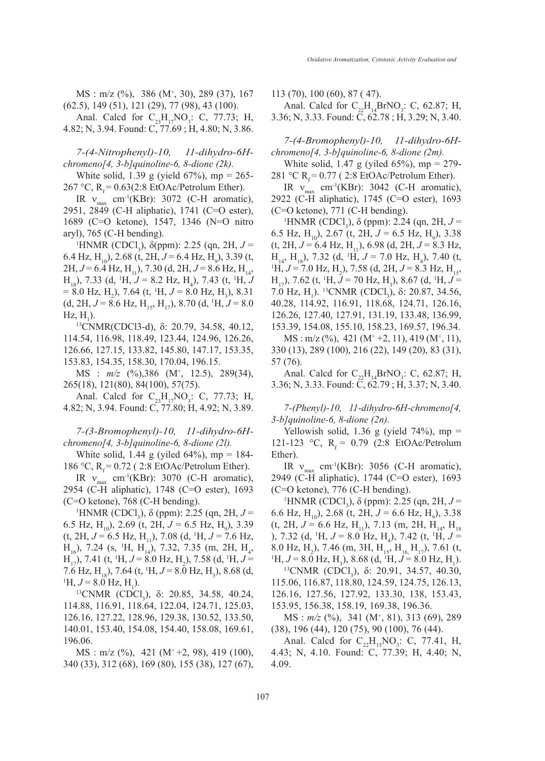MS : m/z (%), 386 (M+ , 30), 289 (37), 167 (62.5), 149 (51), 121 (29), 77 (98), 43 (100).

Anal. Calcd for  $C_{23}H_{17}NO_3$ : C, 77.73; H, 4.82; N, 3.94. Found: C, 77.69 ; H, 4.80; N, 3.86.

*7-(4-Nitrophenyl)-10, 11-dihydro-6Hchromeno[4, 3-b]quinoline-6, 8-dione (2k).*

White solid, 1.39 g (yield 67%), mp = 265-267 °C,  $R_f = 0.63(2:8 \text{ EtOAc/Petrolum Ethernet}).$ 

IR  $v_{\text{max}}$  cm<sup>-1</sup>(KBr): 3072 (C-H aromatic), 2951, 2849 (C-H aliphatic), 1741 (C=O ester), 1689 (C=O ketone), 1547, 1346 (N=O nitro aryl), 765 (C-H bending).

<sup>1</sup>HNMR (CDCl<sub>3</sub>), δ(ppm): 2.25 (qn, 2H,  $J =$ 6.4 Hz, H<sub>10</sub>), 2.68 (t, 2H,  $J = 6.4$  Hz, H<sub>9</sub>), 3.39 (t, 2H,  $J = 6.4$  Hz, H<sub>11</sub>), 7.30 (d, 2H,  $J = 8.6$  Hz, H<sub>14</sub>,  $H_{18}$ ), 7.33 (d, <sup>1</sup>H, *J* = 8.2 Hz, H<sub>4</sub>), 7.43 (t, <sup>1</sup>H, *J*  $= 8.0$  Hz, H<sub>2</sub>), 7.64 (t, <sup>1</sup>H,  $J = 8.0$  Hz, H<sub>3</sub>), 8.31  $(d, 2H, J = 8.6 \text{ Hz}, H_{15}, H_{17})$ , 8.70  $(d, {}^{1}H, J = 8.0 \text{ Hz})$  $Hz, H<sub>1</sub>$ ).

). 13CNMR(CDCl3-d), <sup>δ</sup>: 20.79, 34.58, 40.12, 114.54, 116.98, 118.49, 123.44, 124.96, 126.26, 126.66, 127.15, 133.82, 145.80, 147.17, 153.35, 153.83, 154.35, 158.30, 170.04, 196.15.

MS : *m/z* (%),386 (M+ , 12.5), 289(34), 265(18), 121(80), 84(100), 57(75).

Anal. Calcd for  $C_{23}H_{17}NO_3$ : C, 77.73; H, 4.82; N, 3.94. Found: C, 77.80; H, 4.92; N, 3.89.

*7-(3-Bromophenyl)-10, 11-dihydro-6Hchromeno[4, 3-b]quinoline-6, 8-dione (2l).*

White solid, 1.44 g (yiled  $64\%$ ), mp = 184-186 °C, R<sub>f</sub> = 0.72 (2:8 EtOAc/Petrolum Ether).

IR  $v_{\text{max}}$  cm<sup>-1</sup>(KBr): 3070 (C-H aromatic), 2954 (C-H aliphatic), 1748 (C=O ester), 1693 (C=O ketone), 768 (C-H bending).

<sup>1</sup>HNMR (CDCl<sub>3</sub>), δ (ppm): 2.25 (qn, 2H,  $J =$ 6.5 Hz, H<sub>10</sub>), 2.69 (t, 2H,  $J = 6.5$  Hz, H<sub>9</sub>), 3.39  $(t, 2H, J = 6.5$  Hz,  $H_{11}$ ), 7.08 (d, <sup>1</sup>H,  $J = 7.6$  Hz,  $H_{16}$ ), 7.24 (s, <sup>1</sup>H, H<sub>14</sub>), 7.32, 7.35 (m, 2H, H<sub>4</sub>,  $H_{17}$ ), 7.41 (t, <sup>1</sup>H, *J* = 8.0 Hz, H<sub>2</sub>), 7.58 (d, <sup>1</sup>H, *J* = 7.6 Hz, H<sub>18</sub>), 7.64 (t, <sup>1</sup>H,  $J = 8.0$  Hz, H<sub>3</sub>), 8.68 (d, <sup>1</sup>H,  $J = 8.0$  Hz, H)  $H, J = 8.0$  Hz,  $H_1$ ).

<sup>13</sup>CNMR (CDCl<sub>3</sub>), δ: 20.85, 34.58, 40.24, 114.88, 116.91, 118.64, 122.04, 124.71, 125.03, 126.16, 127.22, 128.96, 129.38, 130.52, 133.50, 140.01, 153.40, 154.08, 154.40, 158.08, 169.61, 196.06.

 $MS: m/z (%)$ , 421  $(M^+ +2, 98)$ , 419 (100), 340 (33), 312 (68), 169 (80), 155 (38), 127 (67), 113 (70), 100 (60), 87 ( 47).

Anal. Calcd for  $C_{22}H_{14}BrNO_3$ : C, 62.87; H, 3.36; N, 3.33. Found: C, 62.78 ; H, 3.29; N, 3.40.

*7-(4-Bromophenyl)-10, 11-dihydro-6Hchromeno[4, 3-b]quinoline-6, 8-dione (2m).*

White solid, 1.47 g (yiled  $65\%$ ), mp = 279-281 °C R<sub>f</sub> = 0.77 (2:8 EtOAc/Petrolum Ether).

IR  $v_{\text{max}}$  cm<sup>-1</sup>(KBr): 3042 (C-H aromatic), 2922 (C-H aliphatic), 1745 (C=O ester), 1693  $(C=O$  ketone), 771  $(C-H$  bending).

HNMR (CDCl<sub>3</sub>),  $\delta$  (ppm): 2.24 (qn, 2H,  $J =$ 6.5 Hz, H<sub>10</sub>), 2.67 (t, 2H,  $J = 6.5$  Hz, H<sub>9</sub>), 3.38  $(t, 2H, J = 6.4 \text{ Hz}, H_{11}$ , 6.98 (d, 2H,  $J = 8.3 \text{ Hz}$ ,  $H_{14}$ ,  $H_{18}$ ), 7.32 (d, <sup>1</sup>H,  $J = 7.0$  Hz, H<sub>4</sub>), 7.40 (t, <sup>1</sup>H,  $J = 7.0$  Hz, H ), 7.58 (d, 2H,  $J = 8.3$  Hz, H  $H, J = 7.0$  Hz,  $H_2$ ), 7.58 (d, 2H,  $J = 8.3$  Hz,  $H_{15}$ ,  $H_{17}$ ), 7.62 (t, <sup>1</sup>H, *J* = 70 Hz, H<sub>3</sub>), 8.67 (d, <sup>1</sup>H, *J* = 7.0 Hz, H<sub>1</sub>). <sup>13</sup>CNMR (CDCl<sub>3</sub>), δ: 20.87, 34.56, 40.28, 114.92, 116.91, 118.68, 124.71, 126.16, 126.26, 127.40, 127.91, 131.19, 133.48, 136.99, 153.39, 154.08, 155.10, 158.23, 169.57, 196.34.  $MS: m/z (%)$ , 421  $(M^+ +2, 11)$ , 419  $(M^+, 11)$ ,

330 (13), 289 (100), 216 (22), 149 (20), 83 (31), 57 (76).

Anal. Calcd for  $C_{22}H_{14}BrNO_3$ : C, 62.87; H, 3.36; N, 3.33. Found: C, 62.79 ; H, 3.37; N, 3.40.

*7-(Phenyl)-10, 11-dihydro-6H-chromeno[4, 3-b]quinoline-6, 8-dione (2n).*

Yellowish solid, 1.36 g (yield  $74\%$ ), mp = 121-123 °C,  $R_f = 0.79$  (2:8 EtOAc/Petrolum Ether).

IR  $v_{\text{max}}$  cm<sup>-1</sup>(KBr): 3056 (C-H aromatic), 2949 (C-H aliphatic), 1744 (C=O ester), 1693 (C=O ketone), 776 (C-H bending).

<sup>1</sup>HNMR (CDCl<sub>3</sub>), δ (ppm): 2.25 (qn, 2H,  $J =$ 6.6 Hz, H<sub>10</sub>, 2.68 (t, 2H,  $J = 6.6$  Hz, H<sub>9</sub>), 3.38  $(t, 2H, J = 6.6 \text{ Hz}, H_{11}$ , 7.13 (m, 2H, H<sub>14</sub>, H<sub>18</sub>) ), 7.32 (d, <sup>1</sup>H, *J* = 8.0 Hz, H<sub>4</sub>), 7.42 (t, <sup>1</sup>H, *J* = 8.0 Hz, H<sub>2</sub>), 7.46 (m, 3H, H<sub>15</sub>, H<sub>16</sub>, H<sub>17</sub>), 7.61 (t, <sup>1</sup>H  $I = 8.0$  Hz, H)  $H, J = 8.0$  Hz,  $H_3$ ), 8.68 (d, <sup>1</sup>H,  $J = 8.0$  Hz,  $H_1$ ).

<sup>13</sup>CNMR (CDCl<sub>3</sub>), δ: 20.91, 34.57, 40.30, 115.06, 116.87, 118.80, 124.59, 124.75, 126.13, 126.16, 127.56, 127.92, 133.30, 138, 153.43, 153.95, 156.38, 158.19, 169.38, 196.36.

MS : *m/z* (%), 341 (M+, 81), 313 (69), 289 (38), 196 (44), 120 (75), 90 (100), 76 (44).

Anal. Calcd for  $C_{22}H_{15}NO_3$ : C, 77.41, H, 4.43; N, 4.10. Found: C, 77.39; H, 4.40; N, 4.09.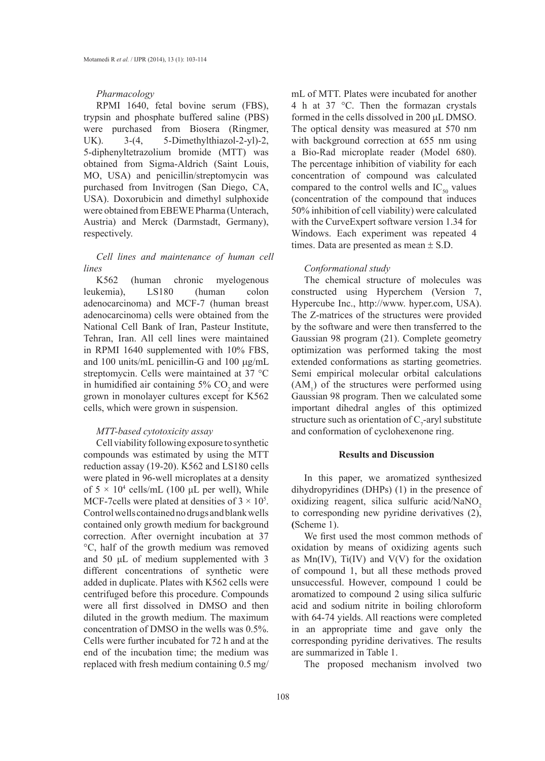### *Pharmacology*

RPMI 1640, fetal bovine serum (FBS), trypsin and phosphate buffered saline (PBS) were purchased from Biosera (Ringmer, UK). 3-(4, 5-Dimethylthiazol-2-yl)-2, 5-diphenyltetrazolium bromide (MTT) was obtained from Sigma-Aldrich (Saint Louis, MO, USA) and penicillin/streptomycin was purchased from Invitrogen (San Diego, CA, USA). Doxorubicin and dimethyl sulphoxide were obtained from EBEWE Pharma (Unterach, Austria) and Merck (Darmstadt, Germany), respectively.

## *Cell lines and maintenance of human cell lines*

K562 (human chronic myelogenous leukemia), LS180 (human colon adenocarcinoma) and MCF-7 (human breast adenocarcinoma) cells were obtained from the National Cell Bank of Iran, Pasteur Institute, Tehran, Iran. All cell lines were maintained in RPMI 1640 supplemented with 10% FBS, and 100 units/mL penicillin-G and 100 µg/mL streptomycin. Cells were maintained at 37 °C in humidified air containing  $5\%$  CO<sub>2</sub> and were grown in monolayer cultures except for K562 cells, which were grown in suspension.

## *MTT-based cytotoxicity assay*

Cell viability following exposure to synthetic compounds was estimated by using the MTT reduction assay (19-20). K562 and LS180 cells were plated in 96-well microplates at a density of  $5 \times 10^4$  cells/mL (100 µL per well), While MCF-7 cells were plated at densities of  $3 \times 10^5$ . Control wells contained no drugs and blank wells contained only growth medium for background correction. After overnight incubation at 37 °C, half of the growth medium was removed and 50 μL of medium supplemented with 3 different concentrations of synthetic were added in duplicate. Plates with K562 cells were centrifuged before this procedure. Compounds were all first dissolved in DMSO and then diluted in the growth medium. The maximum concentration of DMSO in the wells was 0.5%. Cells were further incubated for 72 h and at the end of the incubation time; the medium was replaced with fresh medium containing 0.5 mg/

mL of MTT. Plates were incubated for another 4 h at 37 °C. Then the formazan crystals formed in the cells dissolved in 200 μL DMSO. The optical density was measured at 570 nm with background correction at 655 nm using a Bio-Rad microplate reader (Model 680). The percentage inhibition of viability for each concentration of compound was calculated compared to the control wells and  $IC_{50}$  values (concentration of the compound that induces 50% inhibition of cell viability) were calculated with the CurveExpert software version 1.34 for Windows. Each experiment was repeated 4 times. Data are presented as mean  $\pm$  S.D.

## *Conformational study*

The chemical structure of molecules was constructed using Hyperchem (Version 7, Hypercube Inc., http://www. hyper.com, USA). The Z-matrices of the structures were provided by the software and were then transferred to the Gaussian 98 program (21). Complete geometry optimization was performed taking the most extended conformations as starting geometries. Semi empirical molecular orbital calculations  $(AM<sub>1</sub>)$  of the structures were performed using Gaussian 98 program. Then we calculated some important dihedral angles of this optimized structure such as orientation of  $C_7$ -aryl substitute and conformation of cyclohexenone ring.

## **Results and Discussion**

In this paper, we aromatized synthesized dihydropyridines (DHPs) (1) in the presence of oxidizing reagent, silica sulfuric acid/NaNO<sub>2</sub> to corresponding new pyridine derivatives (2), **(**Scheme 1).

We first used the most common methods of oxidation by means of oxidizing agents such as  $Mn(IV)$ , Ti $(IV)$  and  $V(V)$  for the oxidation of compound 1, but all these methods proved unsuccessful. However, compound 1 could be aromatized to compound 2 using silica sulfuric acid and sodium nitrite in boiling chloroform with 64-74 yields. All reactions were completed in an appropriate time and gave only the corresponding pyridine derivatives. The results are summarized in Table 1.

The proposed mechanism involved two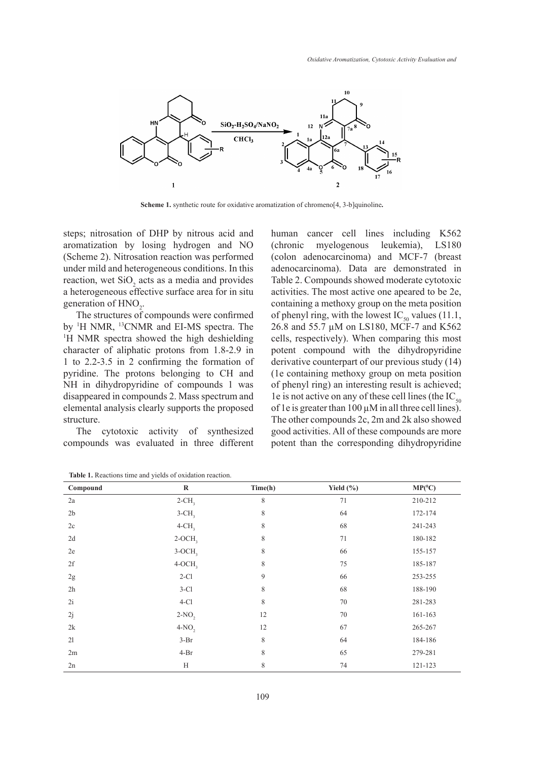

**Scheme 1.** synthetic route for oxidative aromatization of chromeno[4, 3-b]quinoline**.**

steps; nitrosation of DHP by nitrous acid and aromatization by losing hydrogen and NO (Scheme 2). Nitrosation reaction was performed under mild and heterogeneous conditions. In this reaction, wet  $SiO<sub>2</sub>$  acts as a media and provides a heterogeneous effective surface area for in situ generation of  $HNO<sub>2</sub>$ .

The structures of compounds were confirmed by <sup>1</sup>H NMR, <sup>13</sup>CNMR and EI-MS spectra. The <sup>1</sup>H NMR spectra showed the high deshielding <sup>1</sup>H NMR spectra showed the high deshielding character of aliphatic protons from 1.8-2.9 in 1 to 2.2-3.5 in 2 confirming the formation of pyridine. The protons belonging to CH and NH in dihydropyridine of compounds 1 was disappeared in compounds 2. Mass spectrum and elemental analysis clearly supports the proposed structure.

The cytotoxic activity of synthesized compounds was evaluated in three different human cancer cell lines including K562 (chronic myelogenous leukemia), LS180 (colon adenocarcinoma) and MCF-7 (breast adenocarcinoma). Data are demonstrated in Table 2. Compounds showed moderate cytotoxic activities. The most active one apeared to be 2e, containing a methoxy group on the meta position of phenyl ring, with the lowest  $IC_{50}$  values (11.1, 26.8 and 55.7 µM on LS180, MCF-7 and K562 cells, respectively). When comparing this most potent compound with the dihydropyridine derivative counterpart of our previous study (14) (1e containing methoxy group on meta position of phenyl ring) an interesting result is achieved; 1e is not active on any of these cell lines (the  $IC_{50}$ of 1e is greater than  $100 \mu$ M in all three cell lines). The other compounds 2c, 2m and 2k also showed good activities. All of these compounds are more potent than the corresponding dihydropyridine

| Compound       | $\bf R$              | Time(h) | Yield $(\% )$ | $MP(^0C)$ |
|----------------|----------------------|---------|---------------|-----------|
| 2a             | $2$ -CH <sub>3</sub> | 8       | 71            | 210-212   |
| 2 <sub>b</sub> | $3$ -CH <sub>3</sub> | 8       | 64            | 172-174   |
| 2c             | $4$ -CH <sub>3</sub> | 8       | 68            | 241-243   |
| 2d             | $2-OCH3$             | 8       | 71            | 180-182   |
| 2e             | $3-OCH3$             | 8       | 66            | 155-157   |
| 2f             | $4-OCH3$             | 8       | 75            | 185-187   |
| $2\mathrm{g}$  | $2-C1$               | 9       | 66            | 253-255   |
| 2h             | $3-C1$               | 8       | 68            | 188-190   |
| 2i             | $4-C1$               | 8       | 70            | 281-283   |
| 2j             | $2-NO$ ,             | 12      | 70            | 161-163   |
| 2k             | $4-NO,$              | 12      | 67            | 265-267   |
| 21             | $3-Br$               | 8       | 64            | 184-186   |
| 2m             | $4-Br$               | 8       | 65            | 279-281   |
| 2n             | H                    | 8       | 74            | 121-123   |

**Table 1.** Reactions time and yields of oxidation reaction.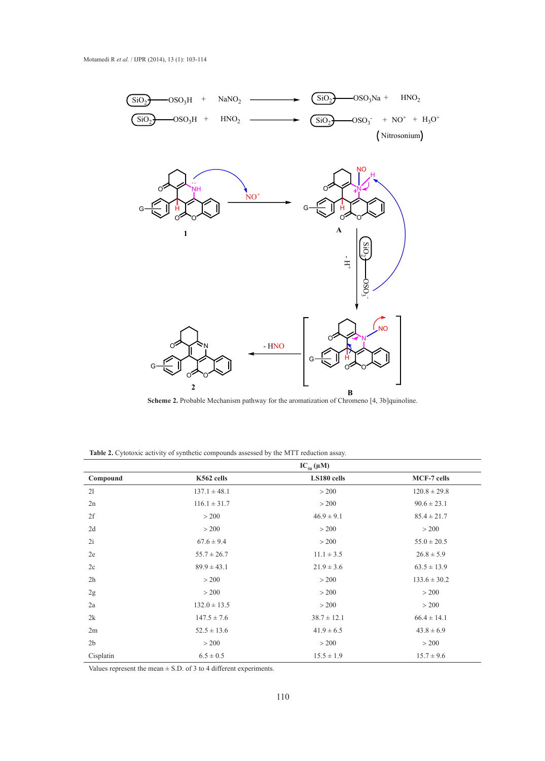

**Scheme 2.** Probable Mechanism pathway for the aromatization of Chromeno [4, 3b]quinoline.

**Table 2.** Cytotoxic activity of synthetic compounds assessed by the MTT reduction assay.

|                | $IC_{50}(\mu M)$ |                 |                    |  |  |
|----------------|------------------|-----------------|--------------------|--|--|
| Compound       | K562 cells       | LS180 cells     | <b>MCF-7 cells</b> |  |  |
| 21             | $137.1 \pm 48.1$ | > 200           | $120.8 \pm 29.8$   |  |  |
| 2n             | $116.1 \pm 31.7$ | > 200           | $90.6 \pm 23.1$    |  |  |
| 2f             | > 200            | $46.9 \pm 9.1$  | $85.4 \pm 21.7$    |  |  |
| 2d             | > 200            | > 200           | > 200              |  |  |
| 2i             | $67.6 \pm 9.4$   | > 200           | $55.0 \pm 20.5$    |  |  |
| 2e             | $55.7 \pm 26.7$  | $11.1 \pm 3.5$  | $26.8 \pm 5.9$     |  |  |
| 2c             | $89.9 \pm 43.1$  | $21.9 \pm 3.6$  | $63.5 \pm 13.9$    |  |  |
| 2h             | > 200            | > 200           | $133.6 \pm 30.2$   |  |  |
| 2g             | > 200            | > 200           | > 200              |  |  |
| 2a             | $132.0 \pm 13.5$ | > 200           | > 200              |  |  |
| 2k             | $147.5 \pm 7.6$  | $38.7 \pm 12.1$ | $66.4 \pm 14.1$    |  |  |
| 2m             | $52.5 \pm 13.6$  | $41.9 \pm 6.5$  | $43.8 \pm 6.9$     |  |  |
| 2 <sub>b</sub> | > 200            | > 200           | > 200              |  |  |
| Cisplatin      | $6.5 \pm 0.5$    | $15.5 \pm 1.9$  | $15.7 \pm 9.6$     |  |  |

Values represent the mean  $\pm$  S.D. of 3 to 4 different experiments.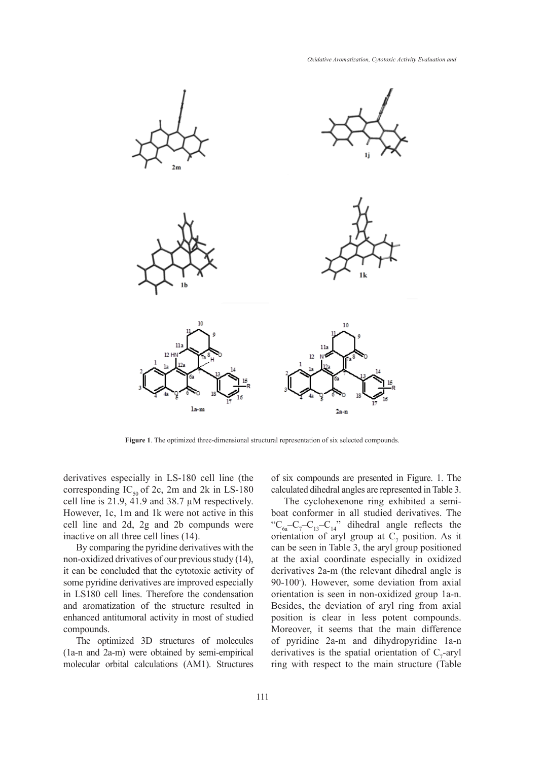

**Figure 1**. The optimized three-dimensional structural representation of six selected compounds.

derivatives especially in LS-180 cell line (the corresponding  $IC_{50}$  of 2c, 2m and 2k in LS-180 cell line is 21.9, 41.9 and 38.7 µM respectively. However, 1c, 1m and 1k were not active in this cell line and 2d, 2g and 2b compunds were inactive on all three cell lines (14).

By comparing the pyridine derivatives with the non-oxidized drivatives of our previous study (14), it can be concluded that the cytotoxic activity of some pyridine derivatives are improved especially in LS180 cell lines. Therefore the condensation and aromatization of the structure resulted in enhanced antitumoral activity in most of studied compounds.

The optimized 3D structures of molecules (1a-n and 2a-m) were obtained by semi-empirical molecular orbital calculations (AM1). Structures of six compounds are presented in Figure. 1. The calculated dihedral angles are represented in Table 3.

The cyclohexenone ring exhibited a semiboat conformer in all studied derivatives. The " $C_{6a} - C_7 - C_{13} - C_{14}$ " dihedral angle reflects the orientation of aryl group at  $C_7$  position. As it can be seen in Table 3, the aryl group positioned at the axial coordinate especially in oxidized derivatives 2a-m (the relevant dihedral angle is 90-100◦ ). However, some deviation from axial orientation is seen in non-oxidized group 1a-n. Besides, the deviation of aryl ring from axial position is clear in less potent compounds. Moreover, it seems that the main difference of pyridine 2a-m and dihydropyridine 1a-n derivatives is the spatial orientation of  $C_7$ -aryl ring with respect to the main structure (Table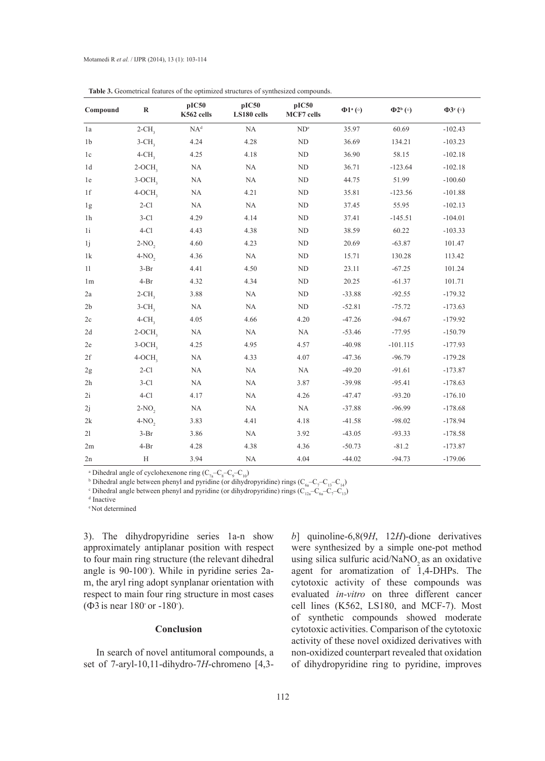| Compound       | $\bf R$              | pIC50<br>K562 cells | pIC50<br>LS180 cells | pIC50<br>MCF7 cells | $\Phi1^{\mathrm{a}}$ (°) | $\Phi$ <sup>2b</sup> ( $\circ$ ) | $\Phi$ 3 <sup>c</sup> (°) |
|----------------|----------------------|---------------------|----------------------|---------------------|--------------------------|----------------------------------|---------------------------|
| 1a             | $2$ -CH <sub>3</sub> | $NA^d$              | NA                   | ND <sup>e</sup>     | 35.97                    | 60.69                            | $-102.43$                 |
| 1 <sub>b</sub> | $3-CH$ ,             | 4.24                | 4.28                 | ND                  | 36.69                    | 134.21                           | $-103.23$                 |
| 1c             | $4$ -CH <sub>3</sub> | 4.25                | 4.18                 | ND                  | 36.90                    | 58.15                            | $-102.18$                 |
| 1d             | $2-OCH3$             | NA                  | NA                   | ND                  | 36.71                    | $-123.64$                        | $-102.18$                 |
| 1e             | $3-OCH3$             | $\rm NA$            | NA                   | ND                  | 44.75                    | 51.99                            | $-100.60$                 |
| 1f             | $4-OCH3$             | $\rm NA$            | 4.21                 | $\rm ND$            | 35.81                    | $-123.56$                        | $-101.88$                 |
| 1g             | $2-C1$               | NA                  | $\rm NA$             | ND                  | 37.45                    | 55.95                            | $-102.13$                 |
| 1 <sub>h</sub> | $3-C1$               | 4.29                | 4.14                 | ND                  | 37.41                    | $-145.51$                        | $-104.01$                 |
| 1i             | $4-Cl$               | 4.43                | 4.38                 | ND                  | 38.59                    | 60.22                            | $-103.33$                 |
| 1j             | $2-NO2$              | 4.60                | 4.23                 | $\rm ND$            | 20.69                    | $-63.87$                         | 101.47                    |
| 1k             | $4-NO,$              | 4.36                | NA                   | ND                  | 15.71                    | 130.28                           | 113.42                    |
| 11             | $3-Br$               | 4.41                | 4.50                 | ND                  | 23.11                    | $-67.25$                         | 101.24                    |
| 1 <sub>m</sub> | $4-Br$               | 4.32                | 4.34                 | ND                  | 20.25                    | $-61.37$                         | 101.71                    |
| 2a             | $2$ -CH <sub>3</sub> | 3.88                | NA                   | ND                  | $-33.88$                 | $-92.55$                         | $-179.32$                 |
| 2 <sub>b</sub> | $3$ -CH <sub>3</sub> | $\rm NA$            | $\rm NA$             | ND                  | $-52.81$                 | $-75.72$                         | $-173.63$                 |
| 2c             | $4$ -CH <sub>3</sub> | 4.05                | 4.66                 | 4.20                | $-47.26$                 | $-94.67$                         | $-179.92$                 |
| 2d             | $2-OCH3$             | NA                  | $\rm NA$             | NA                  | $-53.46$                 | $-77.95$                         | $-150.79$                 |
| 2e             | $3-OCH3$             | 4.25                | 4.95                 | 4.57                | $-40.98$                 | $-101.115$                       | $-177.93$                 |
| 2f             | $4-OCH3$             | NA                  | 4.33                 | 4.07                | $-47.36$                 | $-96.79$                         | $-179.28$                 |
| 2g             | $2-C1$               | $\rm NA$            | NA                   | NA                  | $-49.20$                 | $-91.61$                         | $-173.87$                 |
| 2h             | $3-C1$               | NA                  | NA                   | 3.87                | $-39.98$                 | $-95.41$                         | $-178.63$                 |
| 2i             | $4-Cl$               | 4.17                | $\rm NA$             | 4.26                | $-47.47$                 | $-93.20$                         | $-176.10$                 |
| 2j             | $2-NO$ ,             | NA                  | $\rm NA$             | NA                  | $-37.88$                 | $-96.99$                         | $-178.68$                 |
| 2k             | $4-NO2$              | 3.83                | 4.41                 | 4.18                | $-41.58$                 | $-98.02$                         | $-178.94$                 |
| 21             | $3-Br$               | 3.86                | NA                   | 3.92                | $-43.05$                 | $-93.33$                         | $-178.58$                 |
| 2m             | $4-Br$               | 4.28                | 4.38                 | 4.36                | $-50.73$                 | $-81.2$                          | $-173.87$                 |
| 2n             | H                    | 3.94                | NA                   | 4.04                | $-44.02$                 | $-94.73$                         | $-179.06$                 |

**Table 3.** Geometrical features of the optimized structures of synthesized compounds.

<sup>a</sup> Dihedral angle of cyclohexenone ring  $(C_{7a} - C_8 - C_9 - C_{10})$ 

<sup>b</sup> Dihedral angle between phenyl and pyridine (or dihydropyridine) rings  $(C_{6a} - C_7 - C_{13} - C_{14})$ 

<sup>c</sup> Dihedral angle between phenyl and pyridine (or dihydropyridine) rings ( $C_{12a}$ – $C_{6a}$ – $C_7$ – $C_{13}$ )

d Inactive

e Not determined

3). The dihydropyridine series 1a-n show approximately antiplanar position with respect to four main ring structure (the relevant dihedral angle is 90-100◦ ). While in pyridine series 2am, the aryl ring adopt synplanar orientation with respect to main four ring structure in most cases ( $\Phi$ 3 is near 180 $^{\circ}$  or -180 $^{\circ}$ ).

## **Conclusion**

In search of novel antitumoral compounds, a set of 7-aryl-10,11-dihydro-7*H*-chromeno [4,3*b*] quinoline-6,8(9*H*, 12*H*)-dione derivatives were synthesized by a simple one-pot method using silica sulfuric acid/NaNO<sub>2</sub> as an oxidative agent for aromatization of 1,4-DHPs. The cytotoxic activity of these compounds was evaluated *in-vitro* on three different cancer cell lines (K562, LS180, and MCF-7). Most of synthetic compounds showed moderate cytotoxic activities. Comparison of the cytotoxic activity of these novel oxidized derivatives with non-oxidized counterpart revealed that oxidation of dihydropyridine ring to pyridine, improves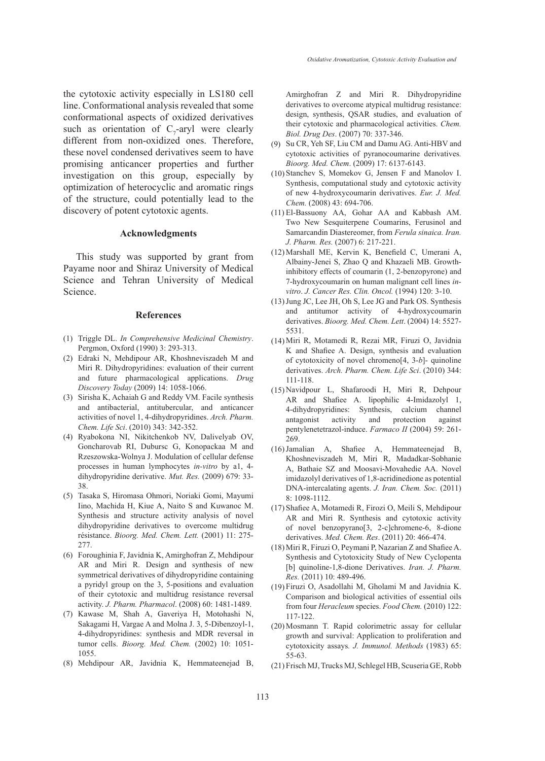the cytotoxic activity especially in LS180 cell line. Conformational analysis revealed that some conformational aspects of oxidized derivatives such as orientation of  $C_7$ -aryl were clearly different from non-oxidized ones. Therefore, these novel condensed derivatives seem to have promising anticancer properties and further investigation on this group, especially by optimization of heterocyclic and aromatic rings of the structure, could potentially lead to the discovery of potent cytotoxic agents.

#### **Acknowledgments**

This study was supported by grant from Payame noor and Shiraz University of Medical Science and Tehran University of Medical Science.

## **References**

- (1) Triggle DL. In Comprehensive Medicinal Chemistry. Pergmon, Oxford (1990) 3: 293-313.
- Edraki N, Mehdipour AR, Khoshneviszadeh M and (2) Miri R. Dihydropyridines: evaluation of their current and future pharmacological applications. *Drug Discovery Today* (2009) 14: 1058-1066.
- (3) Sirisha K, Achaiah G and Reddy VM. Facile synthesis and antibacterial, antitubercular, and anticancer activities of novel 1, 4-dihydropyridines. *Arch. Pharm. Chem. Life Sci*. (2010) 343: 342-352.
- Ryabokona NI, Nikitchenkob NV, Dalivelyab OV, (4) Goncharovab RI, Dubursc G, Konopackaa M and Rzeszowska-Wolnya J. Modulation of cellular defense processes in human lymphocytes *in-vitro* by a1, 4 dihydropyridine derivative. *Mut. Res.* (2009) 679: 33- 38.
- Tasaka S, Hiromasa Ohmori, Noriaki Gomi, Mayumi (5) Iino, Machida H, Kiue A, Naito S and Kuwanoc M. Synthesis and structure activity analysis of novel dihydropyridine derivatives to overcome multidrug résistance. *Bioorg. Med. Chem. Lett.* (2001) 11: 275- 277.
- Foroughinia F, Javidnia K, Amirghofran Z, Mehdipour (6) AR and Miri R. Design and synthesis of new symmetrical derivatives of dihydropyridine containing a pyridyl group on the 3, 5-positions and evaluation of their cytotoxic and multidrug resistance reversal activity. *J. Pharm. Pharmacol*. (2008) 60: 1481-1489.
- (7) Kawase M, Shah A, Gaveriya H, Motohashi N, Sakagami H, Vargae A and Molna J. 3, 5-Dibenzoyl-1, 4-dihydropyridines: synthesis and MDR reversal in tumor cells. *Bioorg. Med. Chem.* (2002) 10: 1051- 1055.
- Mehdipour AR, Javidnia K, Hemmateenejad B, (8)

Amirghofran Z and Miri R. Dihydropyridine derivatives to overcome atypical multidrug resistance: design, synthesis, QSAR studies, and evaluation of their cytotoxic and pharmacological activities. *Chem. Biol. Drug Des*. (2007) 70: 337-346.

- Su CR, Yeh SF, Liu CM and Damu AG. Anti-HBV and (9) cytotoxic activities of pyranocoumarine derivatives*. Bioorg. Med. Chem*. (2009) 17: 6137-6143.
- $(10)$  Stanchev S, Momekov G, Jensen F and Manolov I. Synthesis, computational study and cytotoxic activity of new 4-hydroxycoumarin derivatives. *Eur. J. Med. Chem.* (2008) 43: 694-706.
- El-Bassuony AA, Gohar AA and Kabbash AM. (11) Two New Sesquiterpene Coumarins, Ferusinol and Samarcandin Diastereomer, from *Ferula sinaica. Iran. J. Pharm. Res.* (2007) 6: 217-221.
- Marshall ME, Kervin K, Benefield C, Umerani A, (12) Albainy-Jenei S, Zhao Q and Khazaeli MB. Growthinhibitory effects of coumarin (1, 2-benzopyrone) and 7-hydroxycoumarin on human malignant cell lines *invitro*. *J. Cancer Res. Clin. Oncol.* (1994) 120: 3-10.
- (13) Jung JC, Lee JH, Oh S, Lee JG and Park OS. Synthesis and antitumor activity of 4-hydroxycoumarin derivatives. *Bioorg. Med. Chem. Lett*. (2004) 14: 5527- 5531.
- Miri R, Motamedi R, Rezai MR, Firuzi O, Javidnia (14) K and Shafiee A. Design, synthesis and evaluation of cytotoxicity of novel chromeno[4, 3-*b*]- quinoline derivatives. *Arch. Pharm. Chem. Life Sci*. (2010) 344: 111-118.
- (15) Navidpour L, Shafaroodi H, Miri R, Dehpour AR and Shafiee A. lipophilic 4-Imidazolyl 1, 4-dihydropyridines: Synthesis, calcium channel antagonist activity and protection against pentylenetetrazol-induce. *Farmaco II* (2004) 59: 261- 269.
- (16) Jamalian A, Shafiee A, Hemmateenejad B, Khoshneviszadeh M, Miri R, Madadkar-Sobhanie A, Bathaie SZ and Moosavi-Movahedie AA. Novel imidazolyl derivatives of 1,8-acridinedione as potential DNA-intercalating agents. *J. Iran. Chem. Soc.* (2011) 8: 1098-1112.
- (17) Shafiee A, Motamedi R, Firozi O, Meili S, Mehdipour AR and Miri R. Synthesis and cytotoxic activity of novel benzopyrano[3, 2-c]chromene-6, 8-dione derivatives. *Med. Chem. Res*. (2011) 20: 466-474.
- $(18)$  Miri R, Firuzi O, Peymani P, Nazarian Z and Shafiee A. Synthesis and Cytotoxicity Study of New Cyclopenta [b] quinoline-1,8-dione Derivatives. *Iran. J. Pharm. Res.* (2011) 10: 489-496.
- Firuzi O, Asadollahi M, Gholami M and Javidnia K. (19) Comparison and biological activities of essential oils from four *Heracleum* species. *Food Chem.* (2010) 122: 117-122.
- (20) Mosmann T. Rapid colorimetric assay for cellular growth and survival: Application to proliferation and cytotoxicity assays*. J. Immunol. Methods* (1983) 65: 55-63.
- Frisch MJ, Trucks MJ, Schlegel HB, Scuseria GE, Robb (21)